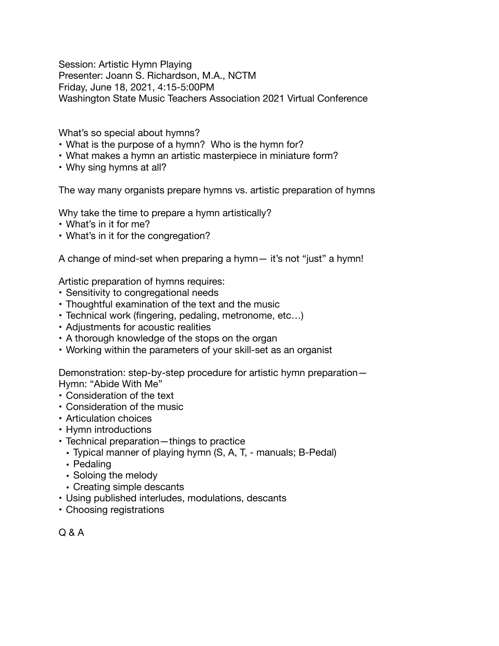Session: Artistic Hymn Playing Presenter: Joann S. Richardson, M.A., NCTM Friday, June 18, 2021, 4:15-5:00PM Washington State Music Teachers Association 2021 Virtual Conference

What's so special about hymns?

- What is the purpose of a hymn? Who is the hymn for?
- What makes a hymn an artistic masterpiece in miniature form?
- Why sing hymns at all?

The way many organists prepare hymns vs. artistic preparation of hymns

Why take the time to prepare a hymn artistically?

- What's in it for me?
- What's in it for the congregation?

A change of mind-set when preparing a hymn— it's not "just" a hymn!

Artistic preparation of hymns requires:

- Sensitivity to congregational needs
- Thoughtful examination of the text and the music
- Technical work (fingering, pedaling, metronome, etc…)
- Adjustments for acoustic realities
- A thorough knowledge of the stops on the organ
- Working within the parameters of your skill-set as an organist

Demonstration: step-by-step procedure for artistic hymn preparation— Hymn: "Abide With Me"

- Consideration of the text
- Consideration of the music
- Articulation choices
- Hymn introductions
- Technical preparation—things to practice
- Typical manner of playing hymn (S, A, T, manuals; B-Pedal)
- Pedaling
- Soloing the melody
- Creating simple descants
- Using published interludes, modulations, descants
- Choosing registrations

Q & A